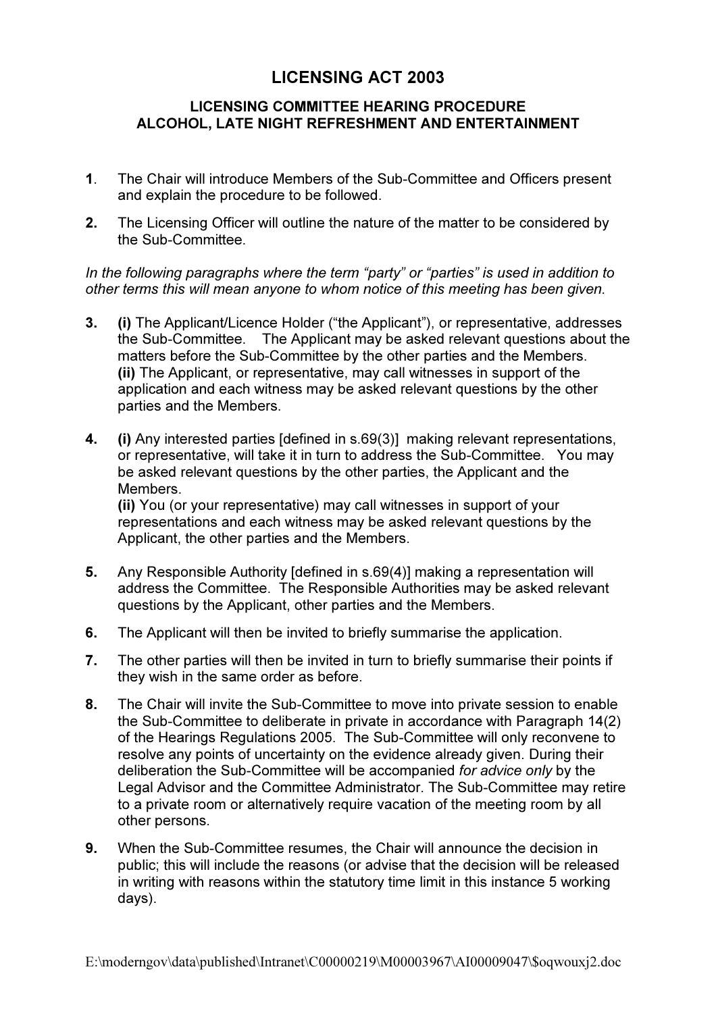## LICENSING ACT 2003

## LICENSING COMMITTEE HEARING PROCEDURE ALCOHOL, LATE NIGHT REFRESHMENT AND ENTERTAINMENT

- 1. The Chair will introduce Members of the Sub-Committee and Officers present and explain the procedure to be followed.
- 2. The Licensing Officer will outline the nature of the matter to be considered by the Sub-Committee.

In the following paragraphs where the term "party" or "parties" is used in addition to other terms this will mean anyone to whom notice of this meeting has been given.

- 3. (i) The Applicant/Licence Holder ("the Applicant"), or representative, addresses the Sub-Committee. The Applicant may be asked relevant questions about the matters before the Sub-Committee by the other parties and the Members. (ii) The Applicant, or representative, may call witnesses in support of the application and each witness may be asked relevant questions by the other parties and the Members.
- 4. (i) Any interested parties [defined in s.69(3)] making relevant representations, or representative, will take it in turn to address the Sub-Committee. You may be asked relevant questions by the other parties, the Applicant and the **Members** (ii) You (or your representative) may call witnesses in support of your

representations and each witness may be asked relevant questions by the Applicant, the other parties and the Members.

- 5. Any Responsible Authority [defined in s.69(4)] making a representation will address the Committee. The Responsible Authorities may be asked relevant questions by the Applicant, other parties and the Members.
- 6. The Applicant will then be invited to briefly summarise the application.
- 7. The other parties will then be invited in turn to briefly summarise their points if they wish in the same order as before.
- 8. The Chair will invite the Sub-Committee to move into private session to enable the Sub-Committee to deliberate in private in accordance with Paragraph 14(2) of the Hearings Regulations 2005. The Sub-Committee will only reconvene to resolve any points of uncertainty on the evidence already given. During their deliberation the Sub-Committee will be accompanied for advice only by the Legal Advisor and the Committee Administrator. The Sub-Committee may retire to a private room or alternatively require vacation of the meeting room by all other persons.
- 9. When the Sub-Committee resumes, the Chair will announce the decision in public; this will include the reasons (or advise that the decision will be released in writing with reasons within the statutory time limit in this instance 5 working days).